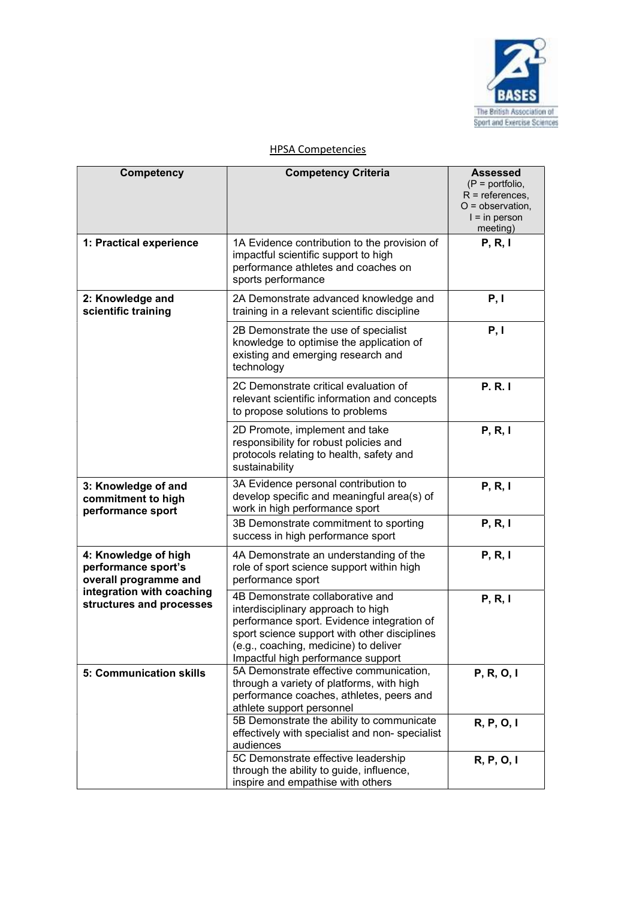

| <b>Competency</b>                                                                                                             | <b>Competency Criteria</b>                                                                                                                                                                                                                          | <b>Assessed</b><br>$(P = portfolio,$<br>$R =$ references,<br>$O =$ observation,<br>$l = in person$<br>meeting) |
|-------------------------------------------------------------------------------------------------------------------------------|-----------------------------------------------------------------------------------------------------------------------------------------------------------------------------------------------------------------------------------------------------|----------------------------------------------------------------------------------------------------------------|
| 1: Practical experience                                                                                                       | 1A Evidence contribution to the provision of<br>impactful scientific support to high<br>performance athletes and coaches on<br>sports performance                                                                                                   | P, R, I                                                                                                        |
| 2: Knowledge and<br>scientific training                                                                                       | 2A Demonstrate advanced knowledge and<br>training in a relevant scientific discipline                                                                                                                                                               | P, I                                                                                                           |
|                                                                                                                               | 2B Demonstrate the use of specialist<br>knowledge to optimise the application of<br>existing and emerging research and<br>technology                                                                                                                | P, I                                                                                                           |
|                                                                                                                               | 2C Demonstrate critical evaluation of<br>relevant scientific information and concepts<br>to propose solutions to problems                                                                                                                           | <b>P.R.I</b>                                                                                                   |
|                                                                                                                               | 2D Promote, implement and take<br>responsibility for robust policies and<br>protocols relating to health, safety and<br>sustainability                                                                                                              | P, R, I                                                                                                        |
| 3: Knowledge of and<br>commitment to high<br>performance sport                                                                | 3A Evidence personal contribution to<br>develop specific and meaningful area(s) of<br>work in high performance sport                                                                                                                                | P, R, I                                                                                                        |
|                                                                                                                               | 3B Demonstrate commitment to sporting<br>success in high performance sport                                                                                                                                                                          | P, R, I                                                                                                        |
| 4: Knowledge of high<br>performance sport's<br>overall programme and<br>integration with coaching<br>structures and processes | 4A Demonstrate an understanding of the<br>role of sport science support within high<br>performance sport                                                                                                                                            | P, R, I                                                                                                        |
|                                                                                                                               | 4B Demonstrate collaborative and<br>interdisciplinary approach to high<br>performance sport. Evidence integration of<br>sport science support with other disciplines<br>(e.g., coaching, medicine) to deliver<br>Impactful high performance support | P, R, I                                                                                                        |
| 5: Communication skills                                                                                                       | 5A Demonstrate effective communication,<br>through a variety of platforms, with high<br>performance coaches, athletes, peers and<br>athlete support personnel                                                                                       | P, R, O, I                                                                                                     |
|                                                                                                                               | 5B Demonstrate the ability to communicate<br>effectively with specialist and non- specialist<br>audiences                                                                                                                                           | R, P, O, I                                                                                                     |
|                                                                                                                               | 5C Demonstrate effective leadership<br>through the ability to guide, influence,<br>inspire and empathise with others                                                                                                                                | R, P, O, I                                                                                                     |

 $\overline{\phantom{a}}$ 

## HPSA Competencies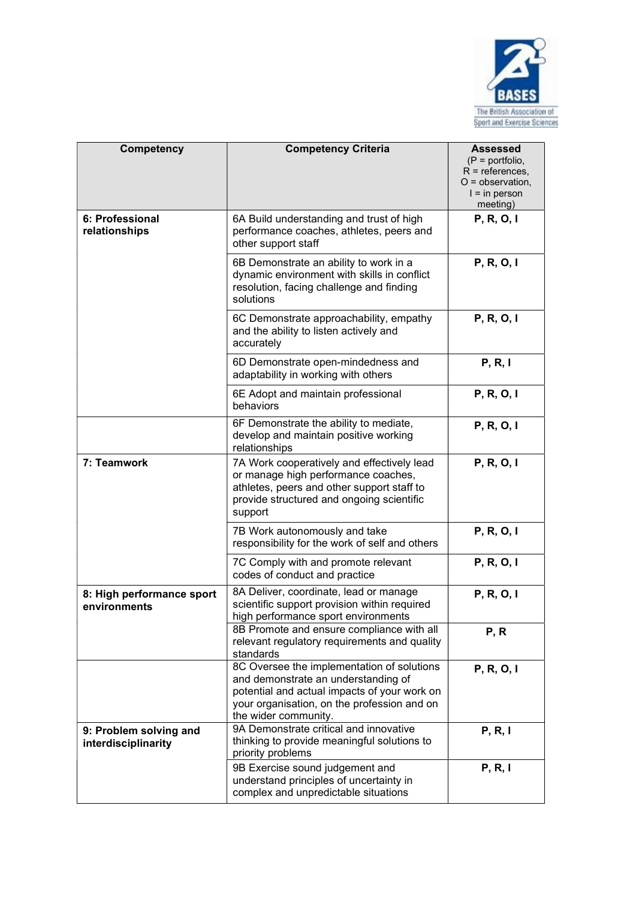

| Competency                                    | <b>Competency Criteria</b>                                                                                                                                                                               | <b>Assessed</b><br>$(P =$ portfolio,<br>$R =$ references,<br>$O =$ observation,<br>$l = in person$<br>meeting) |
|-----------------------------------------------|----------------------------------------------------------------------------------------------------------------------------------------------------------------------------------------------------------|----------------------------------------------------------------------------------------------------------------|
| 6: Professional<br>relationships              | 6A Build understanding and trust of high<br>performance coaches, athletes, peers and<br>other support staff                                                                                              | P, R, O, I                                                                                                     |
|                                               | 6B Demonstrate an ability to work in a<br>dynamic environment with skills in conflict<br>resolution, facing challenge and finding<br>solutions                                                           | P, R, O, I                                                                                                     |
|                                               | 6C Demonstrate approachability, empathy<br>and the ability to listen actively and<br>accurately                                                                                                          | P, R, O, I                                                                                                     |
|                                               | 6D Demonstrate open-mindedness and<br>adaptability in working with others                                                                                                                                | P, R, I                                                                                                        |
|                                               | 6E Adopt and maintain professional<br>behaviors                                                                                                                                                          | P, R, O, I                                                                                                     |
|                                               | 6F Demonstrate the ability to mediate,<br>develop and maintain positive working<br>relationships                                                                                                         | P, R, O, I                                                                                                     |
| 7: Teamwork                                   | 7A Work cooperatively and effectively lead<br>or manage high performance coaches,<br>athletes, peers and other support staff to<br>provide structured and ongoing scientific<br>support                  | P, R, O, I                                                                                                     |
|                                               | 7B Work autonomously and take<br>responsibility for the work of self and others                                                                                                                          | P, R, O, I                                                                                                     |
|                                               | 7C Comply with and promote relevant<br>codes of conduct and practice                                                                                                                                     | P, R, O, I                                                                                                     |
| 8: High performance sport<br>environments     | 8A Deliver, coordinate, lead or manage<br>scientific support provision within required<br>high performance sport environments                                                                            | P, R, O, I                                                                                                     |
|                                               | 8B Promote and ensure compliance with all<br>relevant regulatory requirements and quality<br>standards                                                                                                   | P, R                                                                                                           |
|                                               | 8C Oversee the implementation of solutions<br>and demonstrate an understanding of<br>potential and actual impacts of your work on<br>your organisation, on the profession and on<br>the wider community. | P, R, O, I                                                                                                     |
| 9: Problem solving and<br>interdisciplinarity | 9A Demonstrate critical and innovative<br>thinking to provide meaningful solutions to<br>priority problems                                                                                               | P, R, I                                                                                                        |
|                                               | 9B Exercise sound judgement and<br>understand principles of uncertainty in<br>complex and unpredictable situations                                                                                       | P, R, I                                                                                                        |